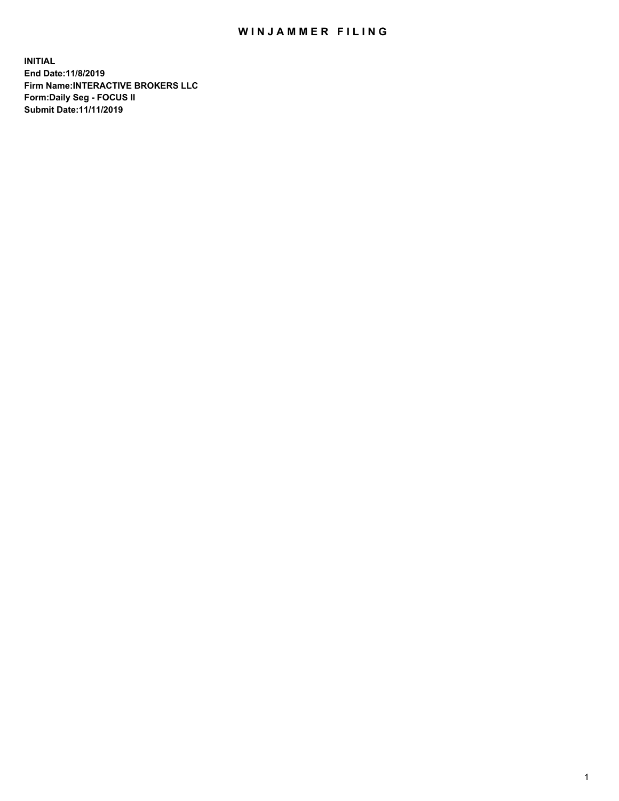## WIN JAMMER FILING

**INITIAL End Date:11/8/2019 Firm Name:INTERACTIVE BROKERS LLC Form:Daily Seg - FOCUS II Submit Date:11/11/2019**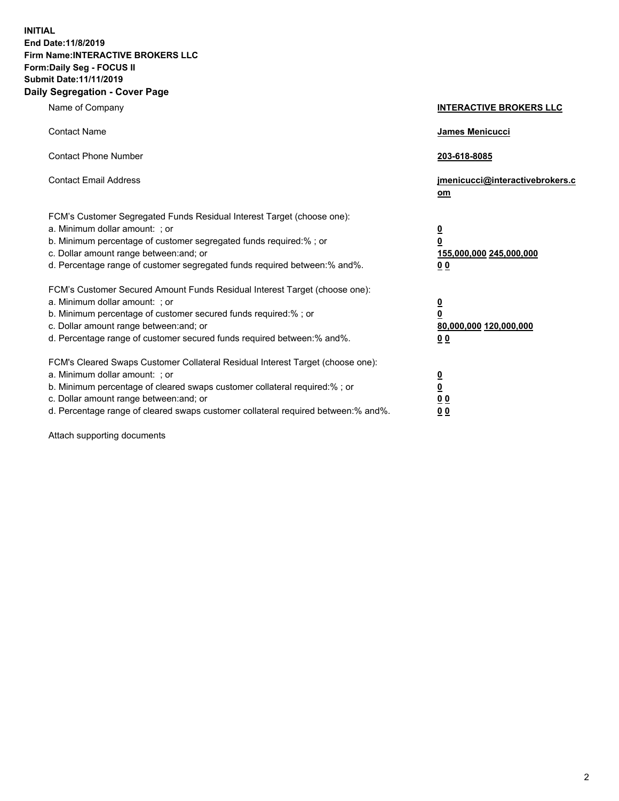**INITIAL End Date:11/8/2019 Firm Name:INTERACTIVE BROKERS LLC Form:Daily Seg - FOCUS II Submit Date:11/11/2019 Daily Segregation - Cover Page**

| Name of Company                                                                                                                                                                                                                                                                                                                | <b>INTERACTIVE BROKERS LLC</b>                                                                 |  |
|--------------------------------------------------------------------------------------------------------------------------------------------------------------------------------------------------------------------------------------------------------------------------------------------------------------------------------|------------------------------------------------------------------------------------------------|--|
| <b>Contact Name</b>                                                                                                                                                                                                                                                                                                            | James Menicucci                                                                                |  |
| <b>Contact Phone Number</b>                                                                                                                                                                                                                                                                                                    | 203-618-8085                                                                                   |  |
| <b>Contact Email Address</b>                                                                                                                                                                                                                                                                                                   | jmenicucci@interactivebrokers.c<br>om                                                          |  |
| FCM's Customer Segregated Funds Residual Interest Target (choose one):<br>a. Minimum dollar amount: ; or<br>b. Minimum percentage of customer segregated funds required:% ; or<br>c. Dollar amount range between: and; or<br>d. Percentage range of customer segregated funds required between:% and%.                         | $\overline{\mathbf{0}}$<br>$\overline{\mathbf{0}}$<br>155,000,000 245,000,000<br>00            |  |
| FCM's Customer Secured Amount Funds Residual Interest Target (choose one):<br>a. Minimum dollar amount: ; or<br>b. Minimum percentage of customer secured funds required:%; or<br>c. Dollar amount range between: and; or<br>d. Percentage range of customer secured funds required between:% and%.                            | $\overline{\mathbf{0}}$<br>$\overline{\mathbf{0}}$<br>80,000,000 120,000,000<br>0 <sub>0</sub> |  |
| FCM's Cleared Swaps Customer Collateral Residual Interest Target (choose one):<br>a. Minimum dollar amount: ; or<br>b. Minimum percentage of cleared swaps customer collateral required:% ; or<br>c. Dollar amount range between: and; or<br>d. Percentage range of cleared swaps customer collateral required between:% and%. | $\overline{\mathbf{0}}$<br>$\overline{\mathbf{0}}$<br>0 <sub>0</sub><br>0 <sub>0</sub>         |  |

Attach supporting documents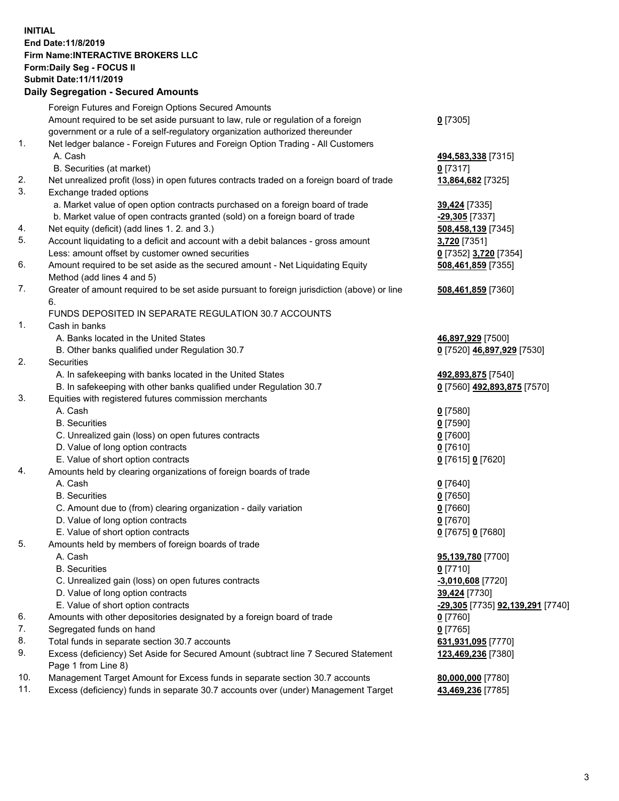## **INITIAL End Date:11/8/2019 Firm Name:INTERACTIVE BROKERS LLC Form:Daily Seg - FOCUS II Submit Date:11/11/2019 Daily Segregation - Secured Amounts**

| $0$ [7305]<br>494,583,338 [7315]<br>$0$ [7317]<br>13,864,682 [7325]<br>39,424 [7335]<br>$-29,305$ [7337]<br>508,458,139 [7345] |
|--------------------------------------------------------------------------------------------------------------------------------|
|                                                                                                                                |
|                                                                                                                                |
|                                                                                                                                |
|                                                                                                                                |
|                                                                                                                                |
|                                                                                                                                |
|                                                                                                                                |
|                                                                                                                                |
|                                                                                                                                |
|                                                                                                                                |
|                                                                                                                                |
| 3,720 [7351]                                                                                                                   |
| 0 [7352] 3,720 [7354]                                                                                                          |
| 508,461,859 [7355]                                                                                                             |
|                                                                                                                                |
| 508,461,859 [7360]                                                                                                             |
|                                                                                                                                |
|                                                                                                                                |
|                                                                                                                                |
| 46,897,929 [7500]                                                                                                              |
| 0 [7520] 46,897,929 [7530]                                                                                                     |
|                                                                                                                                |
| 492,893,875 [7540]                                                                                                             |
| 0 [7560] 492,893,875 [7570]                                                                                                    |
|                                                                                                                                |
| $0$ [7580]                                                                                                                     |
| $0$ [7590]                                                                                                                     |
| $0$ [7600]                                                                                                                     |
| $0$ [7610]                                                                                                                     |
| 0 [7615] 0 [7620]                                                                                                              |
|                                                                                                                                |
| $0$ [7640]                                                                                                                     |
| $0$ [7650]                                                                                                                     |
| $0$ [7660]                                                                                                                     |
| $0$ [7670]                                                                                                                     |
| 0 [7675] 0 [7680]                                                                                                              |
|                                                                                                                                |
| 95,139,780 [7700]                                                                                                              |
| $0$ [7710]                                                                                                                     |
| $-3,010,608$ [7720]                                                                                                            |
| 39,424 [7730]                                                                                                                  |
| <u>-29,305</u> [7735] <u>92,139,291</u> [7740]                                                                                 |
| 0 [7760]                                                                                                                       |
| $0$ [7765]                                                                                                                     |
| 631,931,095 [7770]                                                                                                             |
| 123,469,236 [7380]                                                                                                             |
|                                                                                                                                |
| 80,000,000 [7780]                                                                                                              |
| 43,469,236 [7785]                                                                                                              |
|                                                                                                                                |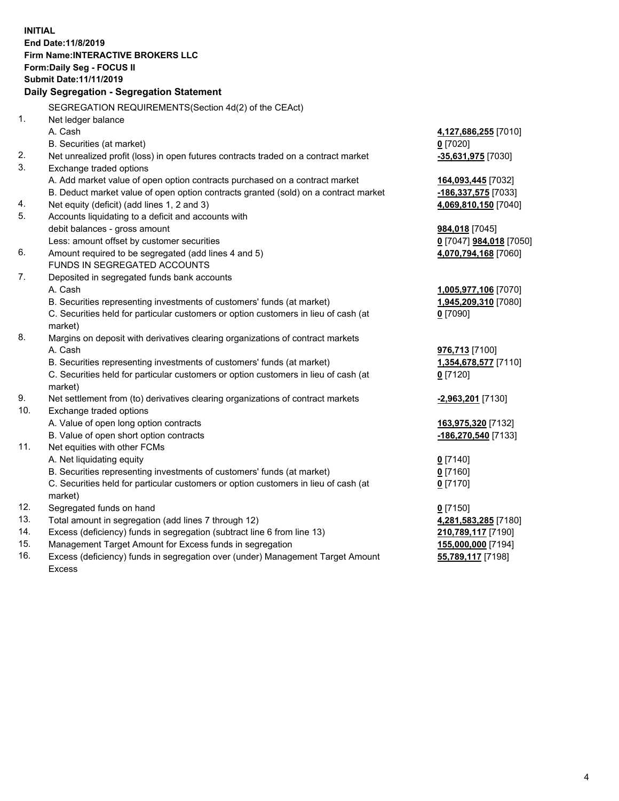**INITIAL End Date:11/8/2019 Firm Name:INTERACTIVE BROKERS LLC Form:Daily Seg - FOCUS II Submit Date:11/11/2019 Daily Segregation - Segregation Statement** SEGREGATION REQUIREMENTS(Section 4d(2) of the CEAct) 1. Net ledger balance A. Cash **4,127,686,255** [7010] B. Securities (at market) **0** [7020] 2. Net unrealized profit (loss) in open futures contracts traded on a contract market **-35,631,975** [7030] 3. Exchange traded options A. Add market value of open option contracts purchased on a contract market **164,093,445** [7032] B. Deduct market value of open option contracts granted (sold) on a contract market **-186,337,575** [7033] 4. Net equity (deficit) (add lines 1, 2 and 3) **4,069,810,150** [7040] 5. Accounts liquidating to a deficit and accounts with debit balances - gross amount **984,018** [7045] Less: amount offset by customer securities **0** [7047] **984,018** [7050] 6. Amount required to be segregated (add lines 4 and 5) **4,070,794,168** [7060] FUNDS IN SEGREGATED ACCOUNTS 7. Deposited in segregated funds bank accounts A. Cash **1,005,977,106** [7070] B. Securities representing investments of customers' funds (at market) **1,945,209,310** [7080] C. Securities held for particular customers or option customers in lieu of cash (at market) **0** [7090] 8. Margins on deposit with derivatives clearing organizations of contract markets A. Cash **976,713** [7100] B. Securities representing investments of customers' funds (at market) **1,354,678,577** [7110] C. Securities held for particular customers or option customers in lieu of cash (at market) **0** [7120] 9. Net settlement from (to) derivatives clearing organizations of contract markets **-2,963,201** [7130] 10. Exchange traded options A. Value of open long option contracts **163,975,320** [7132] B. Value of open short option contracts **-186,270,540** [7133] 11. Net equities with other FCMs A. Net liquidating equity **0** [7140] B. Securities representing investments of customers' funds (at market) **0** [7160] C. Securities held for particular customers or option customers in lieu of cash (at market) **0** [7170] 12. Segregated funds on hand **0** [7150] 13. Total amount in segregation (add lines 7 through 12) **4,281,583,285** [7180] 14. Excess (deficiency) funds in segregation (subtract line 6 from line 13) **210,789,117** [7190] 15. Management Target Amount for Excess funds in segregation **155,000,000** [7194] **55,789,117** [7198]

16. Excess (deficiency) funds in segregation over (under) Management Target Amount Excess